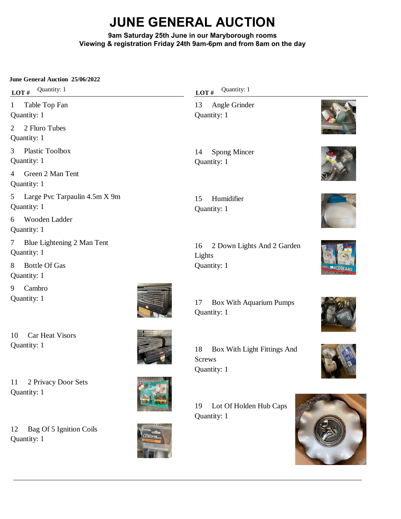# **JUNE GENERAL AUCTION**

# **9am Saturday 25th June in our Maryborough rooms Viewing & registration Friday 24th 9am-6pm and from 8am on the day**

# **June General Auction 25/06/2022**

**LOT** # Quantity: 1

1 Table Top Fan Quantity: 1 2 2 Fluro Tubes

Quantity: 1

3 Plastic Toolbox Quantity: 1

4 Green 2 Man Tent Quantity: 1

5 Large Pvc Tarpaulin 4.5m X 9m Quantity: 1

6 Wooden Ladder Quantity: 1

7 Blue Lightening 2 Man Tent Quantity: 1

8 Bottle Of Gas Quantity: 1

9 Cambro Quantity: 1

Quantity: 1

Quantity: 1

10 Car Heat Visors Quantity: 1

11 2 Privacy Door Sets

12 Bag Of 5 Ignition Coils





Screws

LOT # Quantity: 1

13 Angle Grinder Quantity: 1

14 Spong Mincer Quantity: 1





15 Humidifier Quantity: 1















19 Lot Of Holden Hub Caps

18 Box With Light Fittings And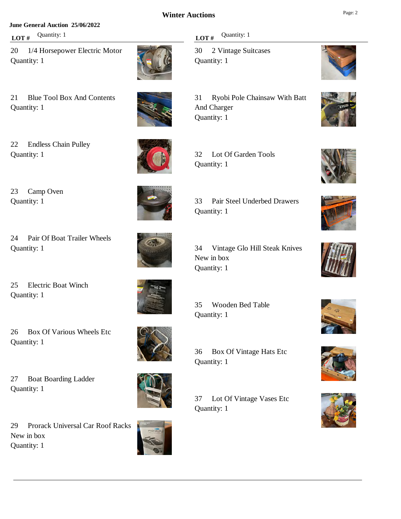#### **June General Auction 25/06/2022**

**LOT** # Quantity: 1

Quantity: 1

20 1/4 Horsepower Electric Motor Quantity: 1

21 Blue Tool Box And Contents





22 Endless Chain Pulley Quantity: 1

24 Pair Of Boat Trailer Wheels

26 Box Of Various Wheels Etc

27 Boat Boarding Ladder

25 Electric Boat Winch

23 Camp Oven

Quantity: 1

Quantity: 1

Quantity: 1

Quantity: 1

Quantity: 1



Quantity: 1

32 Lot Of Garden Tools













33 Pair Steel Underbed Drawers

31 Ryobi Pole Chainsaw With Batt

34 Vintage Glo Hill Steak Knives New in box Quantity: 1

35 Wooden Bed Table Quantity: 1

36 Box Of Vintage Hats Etc Quantity: 1

37 Lot Of Vintage Vases Etc Quantity: 1







29 Prorack Universal Car Roof Racks New in box Quantity: 1



**LOT**  $#$  Quantity: 1

Quantity: 1

And Charger Quantity: 1

30 2 Vintage Suitcases









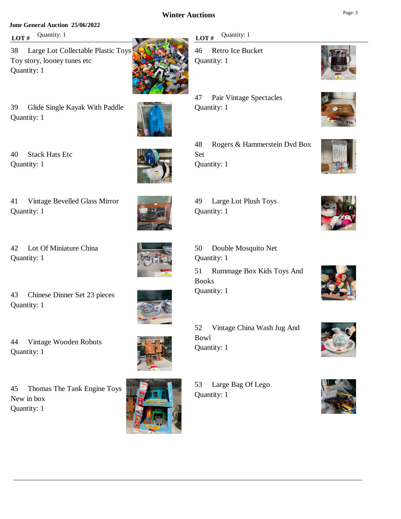#### **June General Auction 25/06/2022**

**LOT** # Quantity: 1

40 Stack Hats Etc

Quantity: 1

Quantity: 1

38 Large Lot Collectable Plastic Toys Toy story, looney tunes etc Quantity: 1

39 Glide Single Kayak With Paddle Quantity: 1



LOT # Quantity: 1

46 Retro Ice Bucket Quantity: 1

47 Pair Vintage Spectacles Quantity: 1



48 Rogers & Hammerstein Dvd Box Set Quantity: 1









42 Lot Of Miniature China Quantity: 1

41 Vintage Bevelled Glass Mirror



49 Large Lot Plush Toys Quantity: 1

50 Double Mosquito Net Quantity: 1 51 Rummage Box Kids Toys And Books Quantity: 1

43 Chinese Dinner Set 23 pieces Quantity: 1

44 Vintage Wooden Robots Quantity: 1

45 Thomas The Tank Engine Toys New in box Quantity: 1



52 Vintage China Wash Jug And Bowl Quantity: 1

53 Large Bag Of Lego Quantity: 1











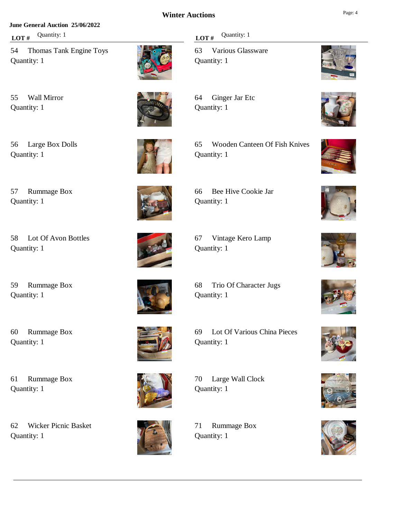#### **June General Auction 25/06/2022**

**LOT**  $#$  Quantity: 1

54 Thomas Tank Engine Toys Quantity: 1

55 Wall Mirror Quantity: 1

56 Large Box Dolls Quantity: 1

57 Rummage Box

Quantity: 1



65 Wooden Canteen Of Fish Knives Quantity: 1



58 Lot Of Avon Bottles Quantity: 1

59 Rummage Box Quantity: 1

60 Rummage Box Quantity: 1

61 Rummage Box

62 Wicker Picnic Basket

Quantity: 1

Quantity: 1

68 Trio Of Character Jugs

69 Lot Of Various China Pieces Quantity: 1

70 Large Wall Clock Quantity: 1

> 71 Rummage Box Quantity: 1

# **LOT**  $#$  Quantity: 1

63 Various Glassware Quantity: 1

64 Ginger Jar Etc Quantity: 1

























# 66 Bee Hive Cookie Jar



67 Vintage Kero Lamp Quantity: 1









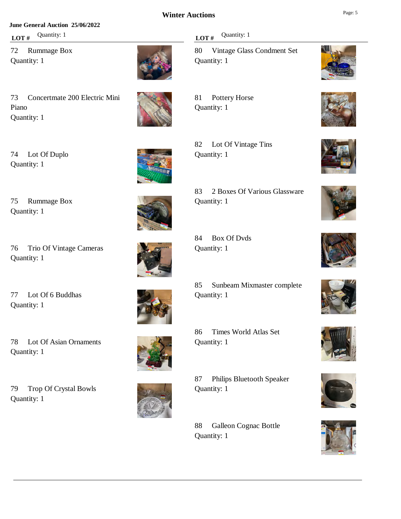#### **June General Auction 25/06/2022**

**LOT** # Quantity: 1

72 Rummage Box Quantity: 1



73 Concertmate 200 Electric Mini Piano Quantity: 1



74 Lot Of Duplo Quantity: 1

75 Rummage Box

76 Trio Of Vintage Cameras

77 Lot Of 6 Buddhas

Quantity: 1

Quantity: 1

Quantity: 1

Quantity: 1



82 Lot Of Vintage Tins Quantity: 1



84 Box Of Dvds Quantity: 1

85 Sunbeam Mixmaster complete Quantity: 1

86 Times World Atlas Set Quantity: 1

87 Philips Bluetooth Speaker Quantity: 1

88 Galleon Cognac Bottle Quantity: 1

**LOT**  $#$  Quantity: 1

80 Vintage Glass Condment Set Quantity: 1

81 Pottery Horse Quantity: 1

























79 Trop Of Crystal Bowls Quantity: 1

78 Lot Of Asian Ornaments





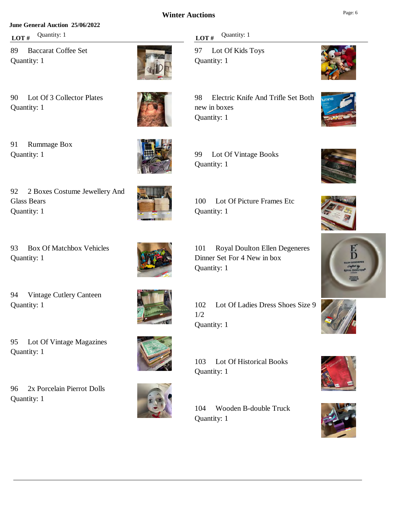#### **June General Auction 25/06/2022**

**LOT**  $#$  Quantity: 1

89 Baccarat Coffee Set Quantity: 1



91 Rummage Box Quantity: 1

Glass Bears Quantity: 1





93 Box Of Matchbox Vehicles Quantity: 1



94 Vintage Cutlery Canteen Quantity: 1



102 Lot Of Ladies Dress Shoes Size 9 1/2 Quantity: 1

103 Lot Of Historical Books Quantity: 1

104 Wooden B-double Truck Quantity: 1



97 Lot Of Kids Toys Quantity: 1

98 Electric Knife And Trifle Set Both new in boxes Quantity: 1























100 Lot Of Picture Frames Etc Quantity: 1

101 Royal Doulton Ellen Degeneres Dinner Set For 4 New in box Quantity: 1

95 Lot Of Vintage Magazines Quantity: 1

96 2x Porcelain Pierrot Dolls Quantity: 1









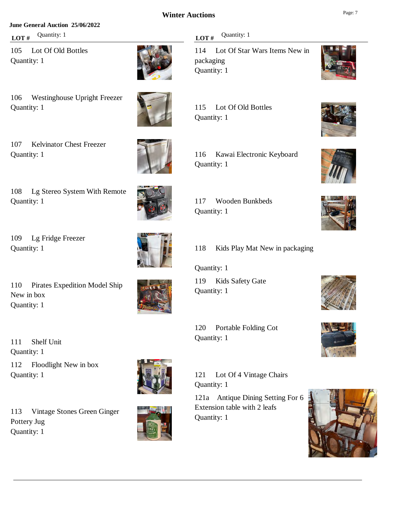#### **June General Auction 25/06/2022**

**LOT** # Quantity: 1

105 Lot Of Old Bottles Quantity: 1



106 Westinghouse Upright Freezer Quantity: 1

107 Kelvinator Chest Freezer Quantity: 1



108 Lg Stereo System With Remote Quantity: 1

109 Lg Fridge Freezer Quantity: 1

110 Pirates Expedition Model Ship New in box Quantity: 1



111 Shelf Unit Quantity: 1 112 Floodlight New in box Quantity: 1

113 Vintage Stones Green Ginger Pottery Jug Quantity: 1



121 Lot Of 4 Vintage Chairs Quantity: 1

121a Antique Dining Setting For 6 Extension table with 2 leafs Quantity: 1



114 Lot Of Star Wars Items New in packaging Quantity: 1





| 117 | Wooden Bunkbeds |
|-----|-----------------|
|     | Quantity: 1     |



Quantity: 1

Quantity: 1

119 Kids Safety Gate Quantity: 1

120 Portable Folding Cot





















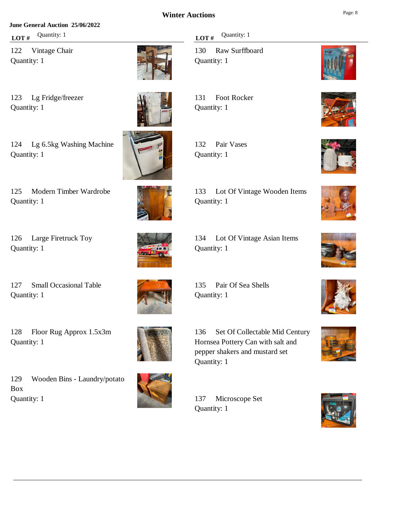#### **June General Auction 25/06/2022**

**LOT** # Quantity: 1

122 Vintage Chair Quantity: 1



123 Lg Fridge/freezer Quantity: 1



124 Lg 6.5kg Washing Machine Quantity: 1



125 Modern Timber Wardrobe Quantity: 1

126 Large Firetruck Toy Quantity: 1

127 Small Occasional Table Quantity: 1

128 Floor Rug Approx 1.5x3m

129 Wooden Bins - Laundry/potato

Quantity: 1

Quantity: 1

Box



Quantity: 1

136 Set Of Collectable Mid Century Hornsea Pottery Can with salt and pepper shakers and mustard set Quantity: 1

137 Microscope Set Quantity: 1

# **LOT** # Quantity: 1

130 Raw Surffboard Quantity: 1

131 Foot Rocker Quantity: 1

132 Pair Vases Quantity: 1



















# 133 Lot Of Vintage Wooden Items Quantity: 1



# 134 Lot Of Vintage Asian Items Quantity: 1





135 Pair Of Sea Shells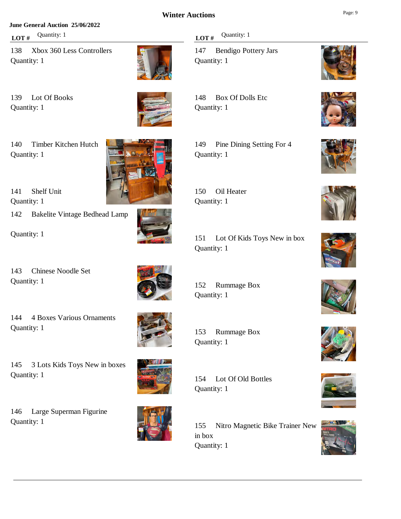#### **June General Auction 25/06/2022**

**LOT**  $#$  Quantity: 1

138 Xbox 360 Less Controllers Quantity: 1



139 Lot Of Books Quantity: 1



140 Timber Kitchen Hutch Quantity: 1



142 Bakelite Vintage Bedhead Lamp

Quantity: 1

143 Chinese Noodle Set Quantity: 1



144 4 Boxes Various Ornaments Quantity: 1



145 3 Lots Kids Toys New in boxes Quantity: 1

146 Large Superman Figurine Quantity: 1



155 Nitro Magnetic Bike Trainer New in box Quantity: 1

# **LOT** # Quantity: 1

147 Bendigo Pottery Jars Quantity: 1

148 Box Of Dolls Etc Quantity: 1

149 Pine Dining Setting For 4 Quantity: 1

150 Oil Heater Quantity: 1

151 Lot Of Kids Toys New in box Quantity: 1

152 Rummage Box Quantity: 1

153 Rummage Box Quantity: 1

154 Lot Of Old Bottles Quantity: 1

























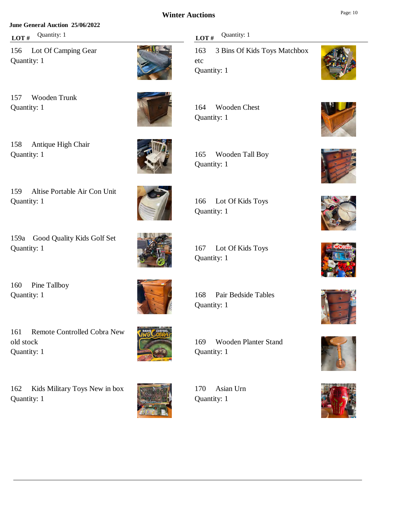#### **June General Auction 25/06/2022**

**LOT** # Quantity: 1

156 Lot Of Camping Gear Quantity: 1



157 Wooden Trunk Quantity: 1

158 Antique High Chair Quantity: 1



159 Altise Portable Air Con Unit Quantity: 1

159a Good Quality Kids Golf Set Quantity: 1

160 Pine Tallboy Quantity: 1

old stock

169 Wooden Planter Stand Quantity: 1

170 Asian Urn Quantity: 1

# **LOT**  $#$  Quantity: 1

163 3 Bins Of Kids Toys Matchbox etc Quantity: 1

164 Wooden Chest Quantity: 1

165 Wooden Tall Boy

166 Lot Of Kids Toys Quantity: 1

167 Lot Of Kids Toys Quantity: 1

168 Pair Bedside Tables

Quantity: 1





















Quantity: 1

161 Remote Controlled Cobra New

162 Kids Military Toys New in box Quantity: 1



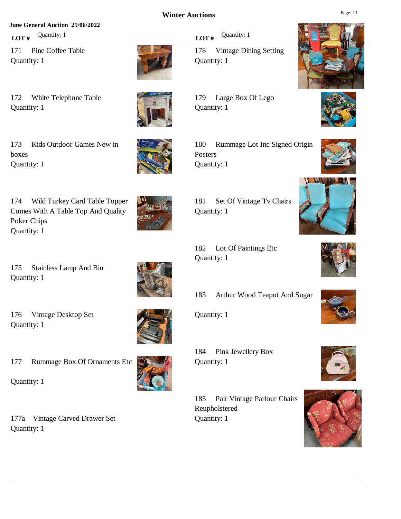#### **June General Auction 25/06/2022**

172 White Telephone Table

**LOT** # Quantity: 1

Quantity: 1

171 Pine Coffee Table Quantity: 1



173 Kids Outdoor Games New in boxes Quantity: 1



175 Stainless Lamp And Bin Quantity: 1



176 Vintage Desktop Set Quantity: 1



177 Rummage Box Of Ornaments Etc

Quantity: 1





185 Pair Vintage Parlour Chairs Reupholstered Quantity: 1























Posters Quantity: 1

Quantity: 1

Quantity: 1

Quantity: 1

**LOT**  $#$  Quantity: 1

178 Vintage Dining Setting Quantity: 1

179 Large Box Of Lego Quantity: 1

181 Set Of Vintage Tv Chairs

182 Lot Of Paintings Etc

183 Arthur Wood Teapot And Sugar

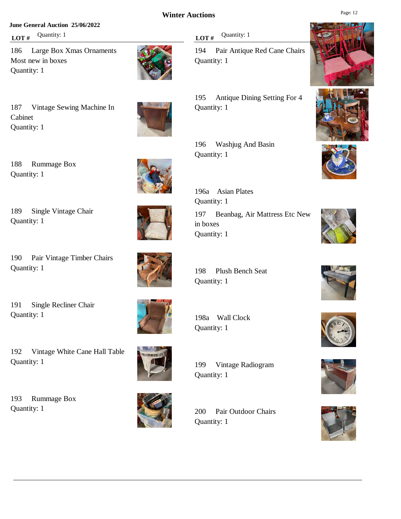#### **June General Auction 25/06/2022**

**LOT**  $#$  Quantity: 1

186 Large Box Xmas Ornaments Most new in boxes Quantity: 1



187 Vintage Sewing Machine In Cabinet Quantity: 1

188 Rummage Box

189 Single Vintage Chair

190 Pair Vintage Timber Chairs

191 Single Recliner Chair

Quantity: 1

Quantity: 1

Quantity: 1



196 Washjug And Basin

196a Asian Plates Quantity: 1

198 Plush Bench Seat

198a Wall Clock Quantity: 1

199 Vintage Radiogram Quantity: 1

200 Pair Outdoor Chairs Quantity: 1

**LOT**  $#$  Quantity: 1

194 Pair Antique Red Cane Chairs Quantity: 1

195 Antique Dining Setting For 4 Quantity: 1

Quantity: 1

197 Beanbag, Air Mattress Etc New in boxes Quantity: 1

Quantity: 1

Quantity: 1

192 Vintage White Cane Hall Table Quantity: 1

193 Rummage Box Quantity: 1























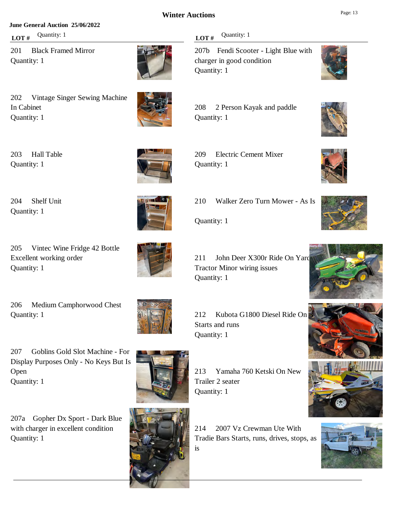#### **June General Auction 25/06/2022**

**LOT** # Quantity: 1

201 Black Framed Mirror Quantity: 1



202 Vintage Singer Sewing Machine In Cabinet Quantity: 1



203 Hall Table Quantity: 1



204 Shelf Unit Quantity: 1

205 Vintec Wine Fridge 42 Bottle Excellent working order Quantity: 1

206 Medium Camphorwood Chest Quantity: 1

207 Goblins Gold Slot Machine - For Display Purposes Only - No Keys But Is Open Quantity: 1

207a Gopher Dx Sport - Dark Blue with charger in excellent condition Quantity: 1



Tractor Minor wiring issues

214 2007 Vz Crewman Ute With Tradie Bars Starts, runs, drives, stops, as is



207b Fendi Scooter - Light Blue with charger in good condition Quantity: 1



209 Electric Cement Mixer Quantity: 1























210 Walker Zero Turn Mower - As Is

Quantity: 1